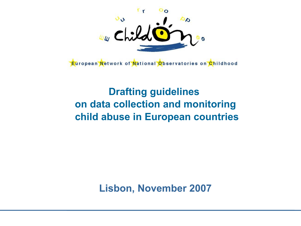

European Network of National Observatories on Childhood

# **Drafting guidelines on data collection and monitoring child abuse in European countries**

**Lisbon, November 2007**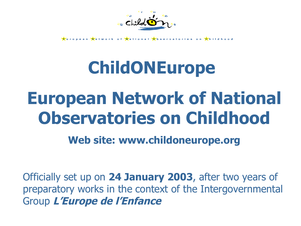

**E**uropean Metwork of Mational Observatories on

# **ChildONEurope**

# **European Network of National Observatories on Childhood**

**Web site: www.childoneurope.org**

Officially set up on **24 January 2003**, after two years of preparatory works in the context of the Intergovernmental Group **L'Europe de l'Enfance**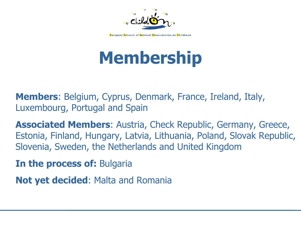

# **Membership**

**Members**: Belgium, Cyprus, Denmark, France, Ireland, Italy, Luxembourg, Portugal and Spain

**Associated Members**: Austria, Check Republic, Germany, Greece, Estonia, Finland, Hungary, Latvia, Lithuania, Poland, Slovak Republic, Slovenia, Sweden, the Netherlands and United Kingdom

**In the process of:** Bulgaria

**Not yet decided**: Malta and Romania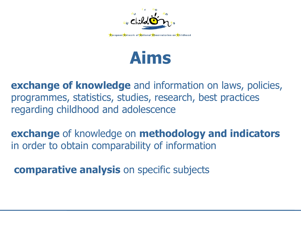



**exchange of knowledge** and information on laws, policies, programmes, statistics, studies, research, best practices regarding childhood and adolescence

**exchange** of knowledge on **methodology and indicators** in order to obtain comparability of information

**comparative analysis** on specific subjects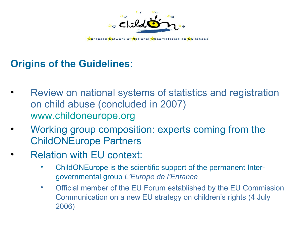

# **Origins of the Guidelines:**

- Review on national systems of statistics and registration on child abuse (concluded in 2007) [www.childoneurope.org](http://www.childoneurope.org/)
- Working group composition: experts coming from the ChildONEurope Partners
- Relation with EU context:
	- ChildONEurope is the scientific support of the permanent Intergovernmental group *L'Europe de l'Enfance*
	- Official member of the EU Forum established by the EU Commission Communication on a new EU strategy on children's rights (4 July 2006)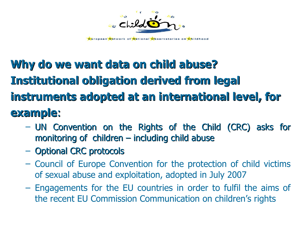

**E**uropean Network of National Observatories on Childhood

# **Why do we want data on child abuse? Institutional obligation derived from legal instruments adopted at an international level, for example**:

- UN Convention on the Rights of the Child (CRC) asks for monitoring of children – including child abuse
- Optional CRC protocols
- Council of Europe Convention for the protection of child victims of sexual abuse and exploitation, adopted in July 2007
- Engagements for the EU countries in order to fulfil the aims of the recent EU Commission Communication on children's rights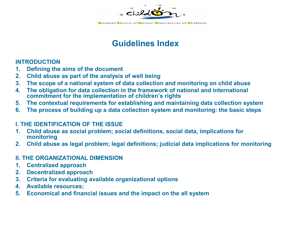

<mark>É</mark>uropean <mark>N</mark>etwork of <mark>N</mark>ational <mark>Ó</mark>bservatories on <mark>C</mark>hildhood

### **Guidelines Index**

#### **INTRODUCTION**

- **1. Defining the aims of the document**
- **2. Child abuse as part of the analysis of well being**
- **3. The scope of a national system of data collection and monitoring on child abuse**
- **4. The obligation for data collection in the framework of national and international commitment for the implementation of children's rights**
- **5. The contextual requirements for establishing and maintaining data collection system**
- **6. The process of building up a data collection system and monitoring: the basic steps**

#### **I. THE IDENTIFICATION OF THE ISSUE**

- **1. Child abuse as social problem; social definitions, social data, implications for monitoring**
- **2. Child abuse as legal problem; legal definitions; judicial data implications for monitoring**

#### **II. THE ORGANIZATIONAL DIMENSION**

- **1. Centralized approach**
- **2. Decentralized approach**
- **3. Criteria for evaluating available organizational options**
- **4. Available resources;**
- **5. Economical and financial issues and the impact on the all system**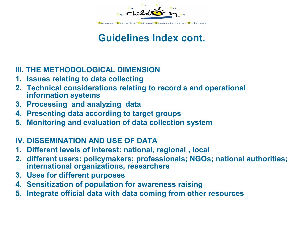

# **Guidelines Index cont.**

#### **III. THE METHODOLOGICAL DIMENSION**

- **1. Issues relating to data collecting**
- **2. Technical considerations relating to record s and operational information systems**
- **3. Processing and analyzing data**
- **4. Presenting data according to target groups**
- **5. Monitoring and evaluation of data collection system**

#### **IV. DISSEMINATION AND USE OF DATA**

- **1. Different levels of interest: national, regional , local**
- **2. different users: policymakers; professionals; NGOs; national authorities; international organizations, researchers**
- **3. Uses for different purposes**
- **4. Sensitization of population for awareness raising**
- **5. Integrate official data with data coming from other resources**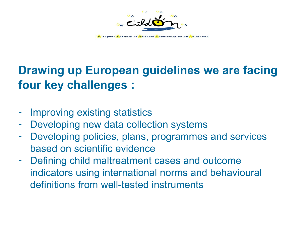

# **Drawing up European guidelines we are facing four key challenges :**

- Improving existing statistics
- Developing new data collection systems
- Developing policies, plans, programmes and services based on scientific evidence
- Defining child maltreatment cases and outcome indicators using international norms and behavioural definitions from well-tested instruments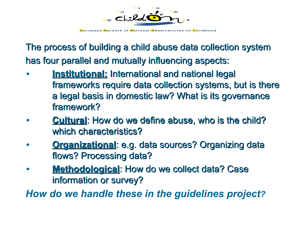

The process of building a child abuse data collection system has four parallel and mutually influencing aspects:

- **Institutional: International and national legal** frameworks require data collection systems, but is there a legal basis in domestic law? What is its governance framework?
- **Cultural**: How do we define abuse, who is the child? which characteristics?
- **Organizational: e.g. data sources? Organizing data** flows? Processing data?
- **Methodological: How do we collect data? Case** information or survey?

*How do we handle these in the guidelines project?*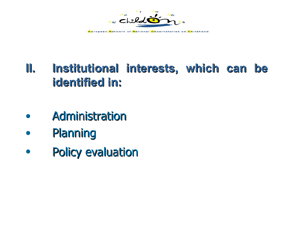

# **II. Institutional interests, which can be identified in:**

- **Administration**
- Planning
- Policy evaluation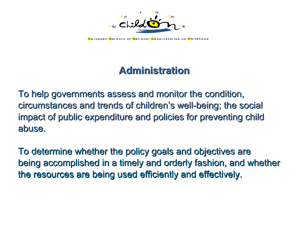

# **Administration**

To help governments assess and monitor the condition, circumstances and trends of children's well-being; the social impact of public expenditure and policies for preventing child abuse.

To determine whether the policy goals and objectives are being accomplished in a timely and orderly fashion, and whether the resources are being used efficiently and effectively.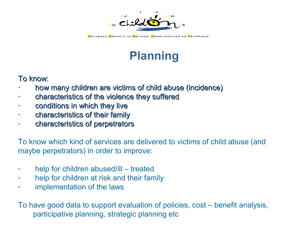

# **Planning**

#### To know:

- how many children are victims of child abuse (incidence)
- characteristics of the violence they suffered
- conditions in which they live
- characteristics of their family
- characteristics of perpetrators

To know which kind of services are delivered to victims of child abuse (and maybe perpetrators) in order to improve:

- help for children abused/ill treated
- help for children at risk and their family
- implementation of the laws

To have good data to support evaluation of policies, cost – benefit analysis, participative planning, strategic planning etc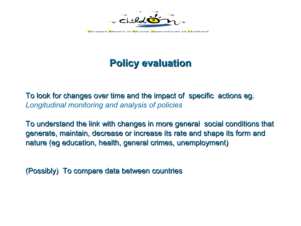

**E**uropean Network of National Observatories on Childhood

# **Policy evaluation**

To look for changes over time and the impact of specific actions eg. *Longitudinal monitoring and analysis of policies*

To understand the link with changes in more general social conditions that generate, maintain, decrease or increase its rate and shape its form and nature (eg education, health, general crimes, unemployment)

(Possibly) To compare data between countries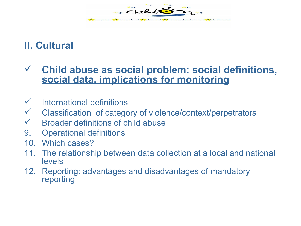

# **II. Cultural**

### **Child abuse as social problem: social definitions, social data, implications for monitoring**

- $\checkmark$  International definitions
- Classification of category of violence/context/perpetrators
- $\checkmark$  Broader definitions of child abuse
- 9. Operational definitions
- 10. Which cases?
- 11. The relationship between data collection at a local and national levels
- 12. Reporting: advantages and disadvantages of mandatory reporting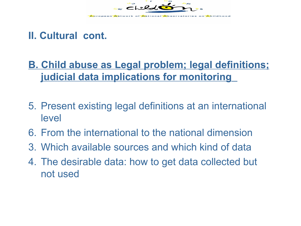

### **II. Cultural cont.**

# **B. Child abuse as Legal problem; legal definitions; judicial data implications for monitoring**

- 5. Present existing legal definitions at an international level
- 6. From the international to the national dimension
- 3. Which available sources and which kind of data
- 4. The desirable data: how to get data collected but not used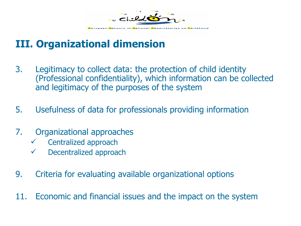

# **III. Organizational dimension**

- 3. Legitimacy to collect data: the protection of child identity (Professional confidentiality), which information can be collected and legitimacy of the purposes of the system
- 5. Usefulness of data for professionals providing information
- 7. Organizational approaches
	- $\checkmark$  Centralized approach
	- $\checkmark$  Decentralized approach
- 9. Criteria for evaluating available organizational options
- 11. Economic and financial issues and the impact on the system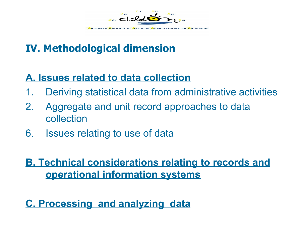

# **IV. Methodological dimension**

# **A. Issues related to data collection**

- 1. Deriving statistical data from administrative activities
- 2. Aggregate and unit record approaches to data collection
- 6. Issues relating to use of data

# **B. Technical considerations relating to records and operational information systems**

**C. Processing and analyzing data**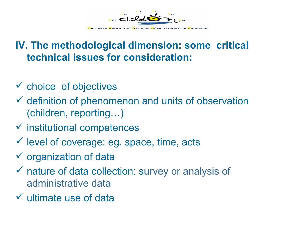

## **IV. The methodological dimension: some critical technical issues for consideration:**

- $\checkmark$  choice of objectives
- $\checkmark$  definition of phenomenon and units of observation (children, reporting…)
- $\checkmark$  institutional competences
- $\checkmark$  level of coverage: eg. space, time, acts
- $\checkmark$  organization of data
- $\checkmark$  nature of data collection: survey or analysis of administrative data
- $\checkmark$  ultimate use of data